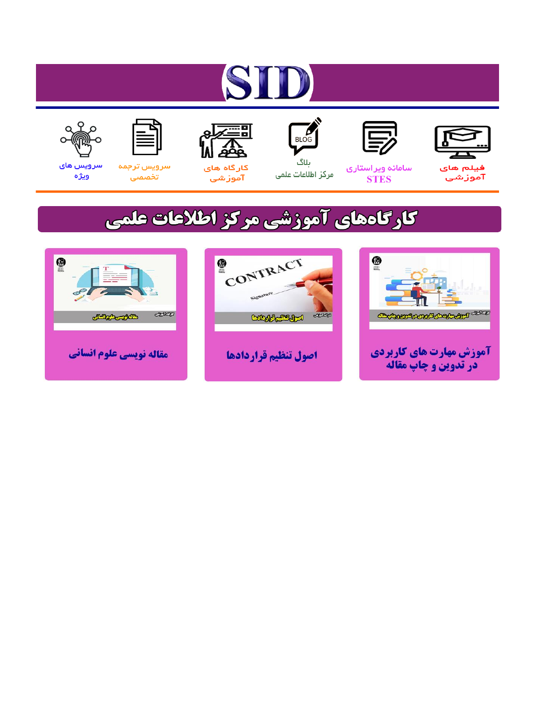# ST











مرکز اطلاعات علمی

 $\frac{1}{\sqrt{\frac{1}{100}}}$ ىلاگ



آموزشي

空

سرويس ترجمه تخصصى



سرویس های ويژه

## كارگاههای آموزشی مركز اطلاعات علمی





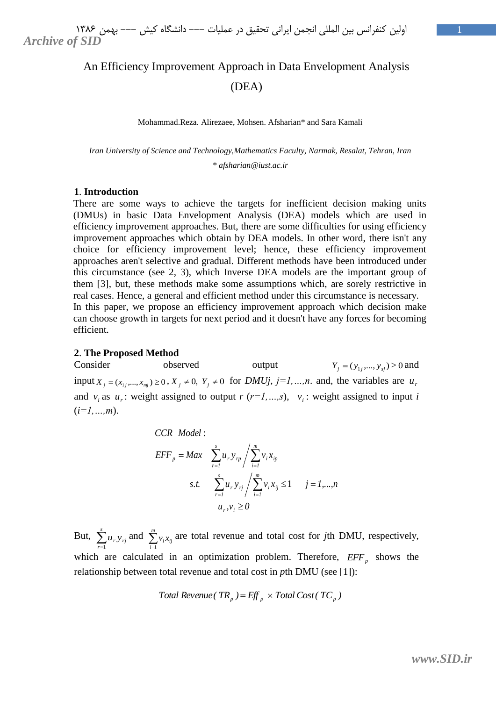### An Efficiency Improvement Approach in Data Envelopment Analysis (DEA)

Mohammad.Reza. Alirezaee, Mohsen. Afsharian\* and Sara Kamali

*Iran University of Science and Technology,Mathematics Faculty, Narmak, Resalat, Tehran, Iran \* afsharian@iust.ac.ir*

#### **1**. **Introduction**

There are some ways to achieve the targets for inefficient decision making units (DMUs) in basic Data Envelopment Analysis (DEA) models which are used in efficiency improvement approaches. But, there are some difficulties for using efficiency improvement approaches which obtain by DEA models. In other word, there isn't any choice for efficiency improvement level; hence, these efficiency improvement approaches aren't selective and gradual. Different methods have been introduced under this circumstance (see 2, 3), which Inverse DEA models are the important group of them [3], but, these methods make some assumptions which, are sorely restrictive in real cases. Hence, a general and efficient method under this circumstance is necessary. In this paper, we propose an efficiency improvement approach which decision make can choose growth in targets for next period and it doesn't have any forces for becoming efficient.

#### **2**. **The Proposed Method**

Consider observed output  $Y_j = (y_{1j},..., y_{sj}) \ge 0$  and input  $X_j = (x_{1j},...,x_{mj}) \ge 0$ ,  $X_j \ne 0$ ,  $Y_j \ne 0$  for *DMUj*,  $j = 1,...,n$ . and, the variables are  $u_j$ and  $v_i$  as  $u_r$ : weight assigned to output  $r$  ( $r=1,...,s$ ),  $v_i$ : weight assigned to input *i* (*i=1,…,m*).

**CCR Model :**

\n
$$
EFF_{p} = Max \sum_{r=1}^{s} u_{r} y_{rp} / \sum_{i=1}^{m} v_{i} x_{ip}
$$
\ns.t.

\n
$$
\sum_{r=1}^{s} u_{r} y_{rj} / \sum_{i=1}^{m} v_{i} x_{ij} \leq 1 \quad j = 1,...,n
$$
\n
$$
u_{r}, v_{i} \geq 0
$$

But,  $\sum_{r=1}^{s}$  $\sum_{r=1}^{n} u_r y_{rj}$ and  $\sum_{i=1}^{m}$  $\sum_{i=1}$   $v_i x_{ij}$ are total revenue and total cost for *j*th DMU, respectively, which are calculated in an optimization problem. Therefore,  $EFF_p$  shows the relationship between total revenue and total cost in *p*th DMU (see [1]):

Total Revenue 
$$
(TR_p) = \text{Eff}_p \times \text{Total Cost}(\text{TC}_p)
$$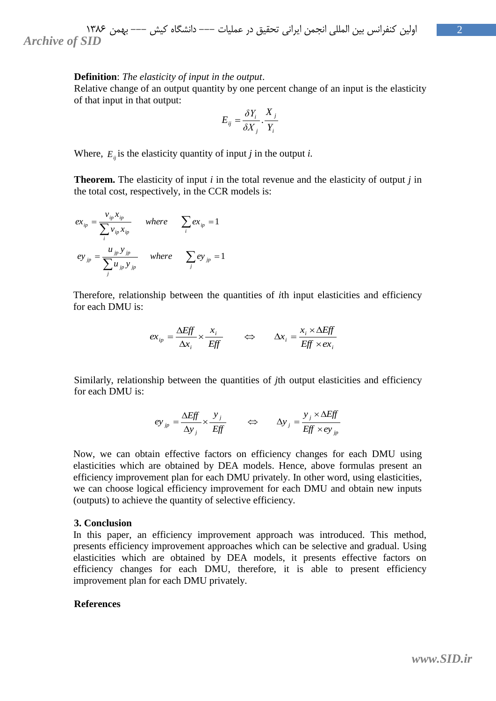#### **Definition**: *The elasticity of input in the output*.

Relative change of an output quantity by one percent change of an input is the elasticity of that input in that output:

$$
E_{ij} = \frac{\delta Y_i}{\delta X_j} \cdot \frac{X_j}{Y_i}
$$

Where,  $E_{ij}$  is the elasticity quantity of input *j* in the output *i*.

**Theorem.** The elasticity of input *i* in the total revenue and the elasticity of output *j* in the total cost, respectively, in the CCR models is:

$$
ex_{ip} = \frac{v_{ip}x_{ip}}{\sum_{i} v_{ip}x_{ip}} \quad \text{where} \quad \sum_{i} ex_{ip} = 1
$$
  

$$
ey_{jp} = \frac{u_{jp}y_{jp}}{\sum_{j} u_{jp}y_{jp}} \quad \text{where} \quad \sum_{j} ey_{jp} = 1
$$

Therefore, relationship between the quantities of *i*th input elasticities and efficiency for each DMU is:

$$
ex_{ip} = \frac{\Delta Eff}{\Delta x_i} \times \frac{x_i}{Eff} \qquad \Leftrightarrow \qquad \Delta x_i = \frac{x_i \times \Delta Eff}{Eff \times ex_i}
$$

Similarly, relationship between the quantities of *j*th output elasticities and efficiency for each DMU is:

$$
ey_{jp} = \frac{\Delta Eff}{\Delta y_j} \times \frac{y_j}{Eff} \qquad \Leftrightarrow \qquad \Delta y_j = \frac{y_j \times \Delta Eff}{Eff \times ey_{jp}}
$$

Now, we can obtain effective factors on efficiency changes for each DMU using elasticities which are obtained by DEA models. Hence, above formulas present an efficiency improvement plan for each DMU privately. In other word, using elasticities, we can choose logical efficiency improvement for each DMU and obtain new inputs (outputs) to achieve the quantity of selective efficiency.

#### **3. Conclusion**

In this paper, an efficiency improvement approach was introduced. This method, presents efficiency improvement approaches which can be selective and gradual. Using elasticities which are obtained by DEA models, it presents effective factors on efficiency changes for each DMU, therefore, it is able to present efficiency improvement plan for each DMU privately.

#### **References**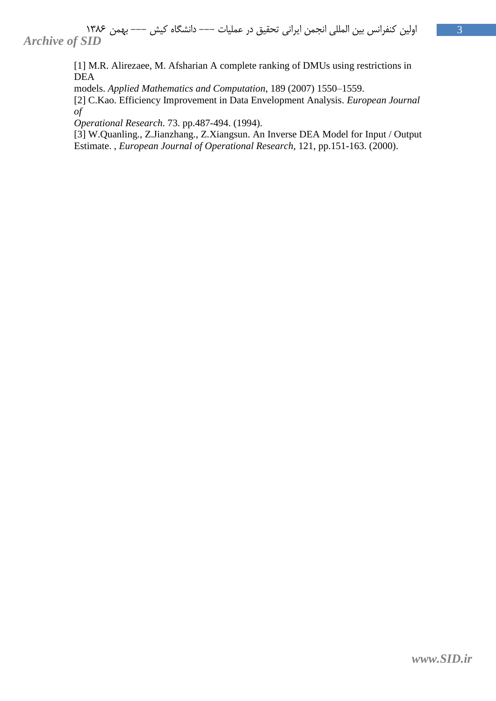[1] M.R. Alirezaee, M. Afsharian A complete ranking of DMUs using restrictions in DEA

models. *Applied Mathematics and Computation*, 189 (2007) 1550–1559.

[2] C.Kao. Efficiency Improvement in Data Envelopment Analysis. *European Journal of*

*Operational Research*. 73. pp.487-494. (1994).

[3] W.Quanling., Z.Jianzhang., Z.Xiangsun. An Inverse DEA Model for Input / Output Estimate. , *European Journal of Operational Research*, 121, pp.151-163. (2000).